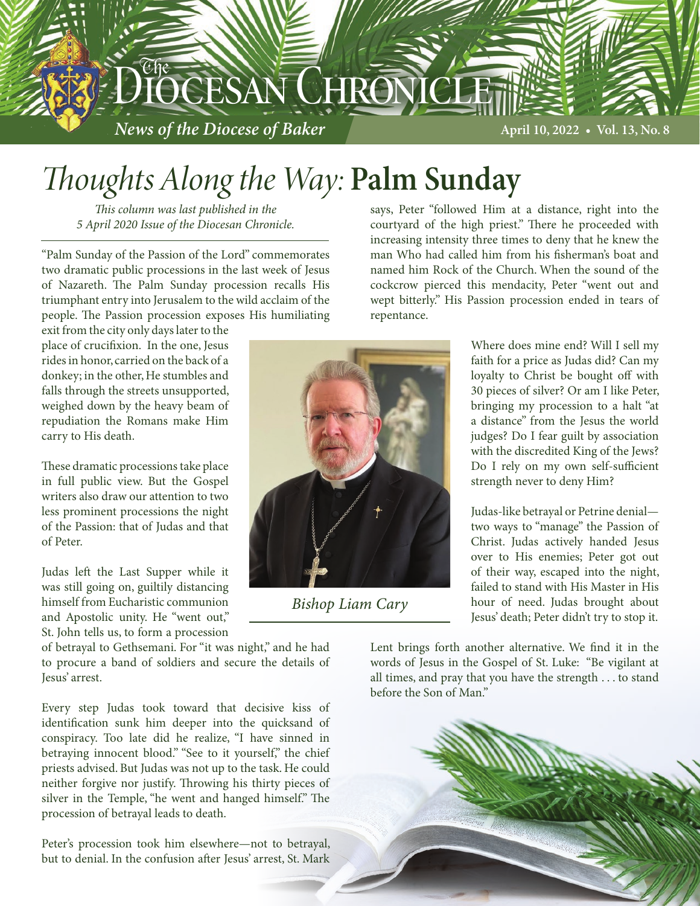

# *Thoughts Along the Way:* **Palm Sunday**

*This column was last published in the 5 April 2020 Issue of the Diocesan Chronicle.*

"Palm Sunday of the Passion of the Lord" commemorates two dramatic public processions in the last week of Jesus of Nazareth. The Palm Sunday procession recalls His triumphant entry into Jerusalem to the wild acclaim of the people. The Passion procession exposes His humiliating

exit from the city only days later to the place of crucifixion. In the one, Jesus rides in honor, carried on the back of a donkey; in the other, He stumbles and falls through the streets unsupported, weighed down by the heavy beam of repudiation the Romans make Him carry to His death.

These dramatic processions take place in full public view. But the Gospel writers also draw our attention to two less prominent processions the night of the Passion: that of Judas and that of Peter.

Judas left the Last Supper while it was still going on, guiltily distancing himself from Eucharistic communion and Apostolic unity. He "went out," St. John tells us, to form a procession

of betrayal to Gethsemani. For "it was night," and he had to procure a band of soldiers and secure the details of Jesus' arrest.

Every step Judas took toward that decisive kiss of identification sunk him deeper into the quicksand of conspiracy. Too late did he realize, "I have sinned in betraying innocent blood." "See to it yourself," the chief priests advised. But Judas was not up to the task. He could neither forgive nor justify. Throwing his thirty pieces of silver in the Temple, "he went and hanged himself." The procession of betrayal leads to death.

Peter's procession took him elsewhere—not to betrayal, but to denial. In the confusion after Jesus' arrest, St. Mark

*Bishop Liam Cary*

says, Peter "followed Him at a distance, right into the courtyard of the high priest." There he proceeded with increasing intensity three times to deny that he knew the man Who had called him from his fisherman's boat and named him Rock of the Church. When the sound of the cockcrow pierced this mendacity, Peter "went out and wept bitterly." His Passion procession ended in tears of repentance.

> Where does mine end? Will I sell my faith for a price as Judas did? Can my loyalty to Christ be bought off with 30 pieces of silver? Or am I like Peter, bringing my procession to a halt "at a distance" from the Jesus the world judges? Do I fear guilt by association with the discredited King of the Jews? Do I rely on my own self-sufficient strength never to deny Him?

> Judas-like betrayal or Petrine denial two ways to "manage" the Passion of Christ. Judas actively handed Jesus over to His enemies; Peter got out of their way, escaped into the night, failed to stand with His Master in His hour of need. Judas brought about Jesus' death; Peter didn't try to stop it.

Lent brings forth another alternative. We find it in the words of Jesus in the Gospel of St. Luke: "Be vigilant at all times, and pray that you have the strength . . . to stand before the Son of Man."

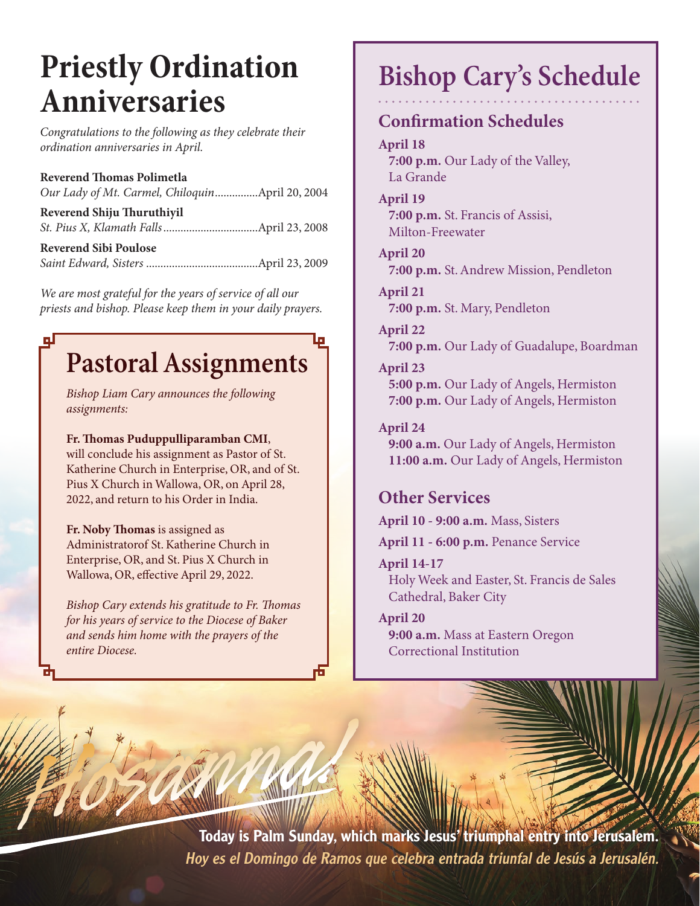# **Priestly Ordination Anniversaries**

*Congratulations to the following as they celebrate their ordination anniversaries in April.*

#### **Reverend Thomas Polimetla**

*Our Lady of Mt. Carmel, Chiloquin*...............April 20, 2004

| Reverend Shiju Thuruthiyil   |  |
|------------------------------|--|
|                              |  |
| <b>Reverend Sibi Poulose</b> |  |

*Saint Edward, Sisters* .......................................April 23, 2009

*We are most grateful for the years of service of all our priests and bishop. Please keep them in your daily prayers.*

## **Pastoral Assignments**

*Bishop Liam Cary announces the following assignments:*

#### **Fr. Thomas Puduppulliparamban CMI**,

will conclude his assignment as Pastor of St. Katherine Church in Enterprise, OR, and of St. Pius X Church in Wallowa, OR, on April 28, 2022, and return to his Order in India.

**Fr. Noby Thomas** is assigned as Administratorof St. Katherine Church in Enterprise, OR, and St. Pius X Church in Wallowa, OR, effective April 29, 2022.

*Bishop Cary extends his gratitude to Fr. Thomas for his years of service to the Diocese of Baker and sends him home with the prayers of the entire Diocese.*

## **Bishop Cary's Schedule**

### **Confirmation Schedules**

#### **April 18**

**7:00 p.m.** Our Lady of the Valley, La Grande

**April 19 7:00 p.m.** St. Francis of Assisi, Milton-Freewater

**April 20 7:00 p.m.** St. Andrew Mission, Pendleton

**April 21 7:00 p.m.** St. Mary, Pendleton

**April 22 7:00 p.m.** Our Lady of Guadalupe, Boardman

#### **April 23**

**5:00 p.m.** Our Lady of Angels, Hermiston **7:00 p.m.** Our Lady of Angels, Hermiston

#### **April 24**

**9:00 a.m.** Our Lady of Angels, Hermiston **11:00 a.m.** Our Lady of Angels, Hermiston

### **Other Services**

**April 10 - 9:00 a.m.** Mass, Sisters

**April 11 - 6:00 p.m.** Penance Service

**April 14-17** Holy Week and Easter, St. Francis de Sales Cathedral, Baker City

#### **April 20**

**9:00 a.m.** Mass at Eastern Oregon Correctional Institution

**Hostannia** Today is Palm Sunday, which marks Jesus' triumphal entry into Jerusalem. Hoy es el Domingo de Ramos que celebra entrada triunfal de Jesús a Jerusalén.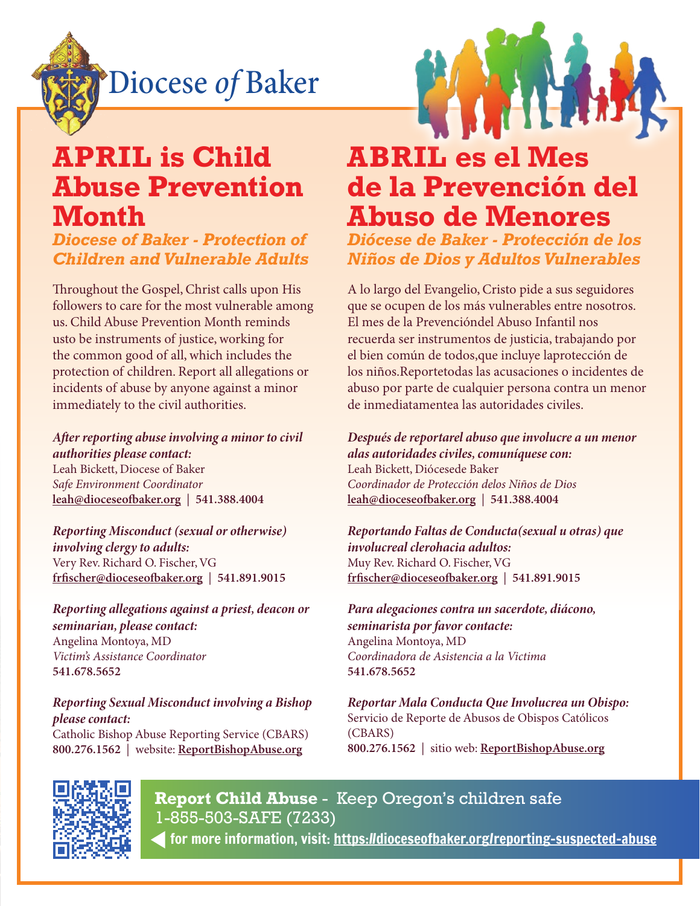Diocese *of* Baker

### **APRIL is Child Abuse Prevention Month**

*Diocese of Baker - Protection of Children and Vulnerable Adults*

Throughout the Gospel, Christ calls upon His followers to care for the most vulnerable among us. Child Abuse Prevention Month reminds usto be instruments of justice, working for the common good of all, which includes the protection of children. Report all allegations or incidents of abuse by anyone against a minor immediately to the civil authorities.

#### *After reporting abuse involving a minor to civil authorities please contact:*

Leah Bickett, Diocese of Baker *Safe Environment Coordinator* **leah@dioceseofbaker.org** | **541.388.4004**

*Reporting Misconduct (sexual or otherwise) involving clergy to adults:* Very Rev. Richard O. Fischer, VG **frfischer@dioceseofbaker.org** | **541.891.9015**

*Reporting allegations against a priest, deacon or seminarian, please contact:* Angelina Montoya, MD *Victim's Assistance Coordinator* **541.678.5652**

#### *Reporting Sexual Misconduct involving a Bishop please contact:*

Catholic Bishop Abuse Reporting Service (CBARS) **800.276.1562** | website: **ReportBishopAbuse.org**

## **ABRIL es el Mes de la Prevención del Abuso de Menores**

*Diócese de Baker - Protección de los Niños de Dios y Adultos Vulnerables*

A lo largo del Evangelio, Cristo pide a sus seguidores que se ocupen de los más vulnerables entre nosotros. El mes de la Prevencióndel Abuso Infantil nos recuerda ser instrumentos de justicia, trabajando por el bien común de todos,que incluye laprotección de los niños.Reportetodas las acusaciones o incidentes de abuso por parte de cualquier persona contra un menor de inmediatamentea las autoridades civiles.

*Después de reportarel abuso que involucre a un menor alas autoridades civiles, comuníquese con:* Leah Bickett, Diócesede Baker *Coordinador de Protección delos Niños de Dios*

**leah@dioceseofbaker.org** | **541.388.4004**

*Reportando Faltas de Conducta(sexual u otras) que involucreal clerohacia adultos:* Muy Rev. Richard O. Fischer, VG **frfischer@dioceseofbaker.org** | **541.891.9015**

*Para alegaciones contra un sacerdote, diácono, seminarista por favor contacte:* Angelina Montoya, MD *Coordinadora de Asistencia a la Victima* **541.678.5652**

*Reportar Mala Conducta Que Involucrea un Obispo:* Servicio de Reporte de Abusos de Obispos Católicos (CBARS) **800.276.1562** | sitio web: **ReportBishopAbuse.org**



**Report Child Abuse** - Keep Oregon's children safe 1-855-503-SAFE (7233) for more information, visit: https://dioceseofbaker.org/reporting-suspected-abuse